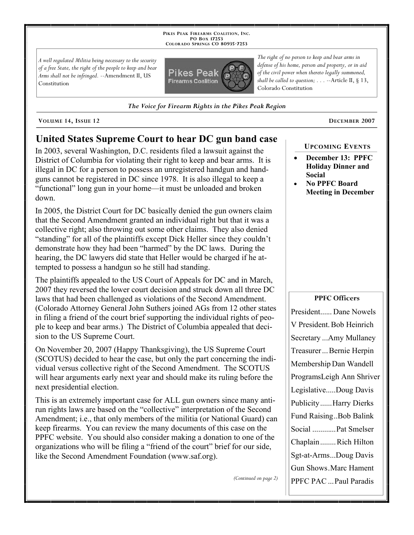**PIKES PEAK FIREARMS COALITION, INC. PO BOX 17253 COLORADO SPRINGS CO 80935 -7253**

*A well regulated Militia being necessary to the security of a free State, the right of the people to keep and bear Arms shall not be infringed.* --Amendment II, US Constitution



*The Voice for Firearm Rights in the Pikes Peak Region*

**VOLUME 14, ISSUE 12 DECEMBER 2007**

# **United States Supreme Court to hear DC gun band case**

In 2003, several Washington, D.C. residents filed a lawsuit against the District of Columbia for violating their right to keep and bear arms. It is illegal in DC for a person to possess an unregistered handgun and handguns cannot be registered in DC since 1978. It is also illegal to keep a "functional" long gun in your home—it must be unloaded and broken down.

In 2005, the District Court for DC basically denied the gun owners claim that the Second Amendment granted an individual right but that it was a collective right; also throwing out some other claims. They also denied "standing" for all of the plaintiffs except Dick Heller since they couldn't demonstrate how they had been "harmed" by the DC laws. During the hearing, the DC lawyers did state that Heller would be charged if he attempted to possess a handgun so he still had standing.

The plaintiffs appealed to the US Court of Appeals for DC and in March, 2007 they reversed the lower court decision and struck down all three DC laws that had been challenged as violations of the Second Amendment. (Colorado Attorney General John Suthers joined AGs from 12 other states in filing a friend of the court brief supporting the individual rights of people to keep and bear arms.) The District of Columbia appealed that decision to the US Supreme Court.

On November 20, 2007 (Happy Thanksgiving), the US Supreme Court (SCOTUS) decided to hear the case, but only the part concerning the individual versus collective right of the Second Amendment. The SCOTUS will hear arguments early next year and should make its ruling before the next presidential election.

This is an extremely important case for ALL gun owners since many antirun rights laws are based on the "collective" interpretation of the Second Amendment; i.e., that only members of the militia (or National Guard) can keep firearms. You can review the many documents of this case on the PPFC website. You should also consider making a donation to one of the organizations who will be filing a "friend of the court" brief for our side, like the Second Amendment Foundation (www.saf.org).

*(Continued on page 2)*

*The right of no person to keep and bear arms in defense of his home, person and property, or in aid of the civil power when thereto legally summoned, shall be called to question; . . .* --Article II, § 13, Colorado Constitution

**UPCOMING EVENTS**

- **December 13: PPFC Holiday Dinner and Social**
- **No PPFC Board Meeting in December**

#### **PPFC Officers**

President...... Dane Nowels V President. Bob Heinrich Secretary ...Amy Mullaney Treasurer ... Bernie Herpin Membership Dan Wandell ProgramsLeigh Ann Shriver Legislative.....Doug Davis Publicity......Harry Dierks Fund Raising..Bob Balink Social ............Pat Smelser Chaplain........Rich Hilton Sgt-at-Arms...Doug Davis Gun Shows.Marc Hament PPFC PAC ...Paul Paradis